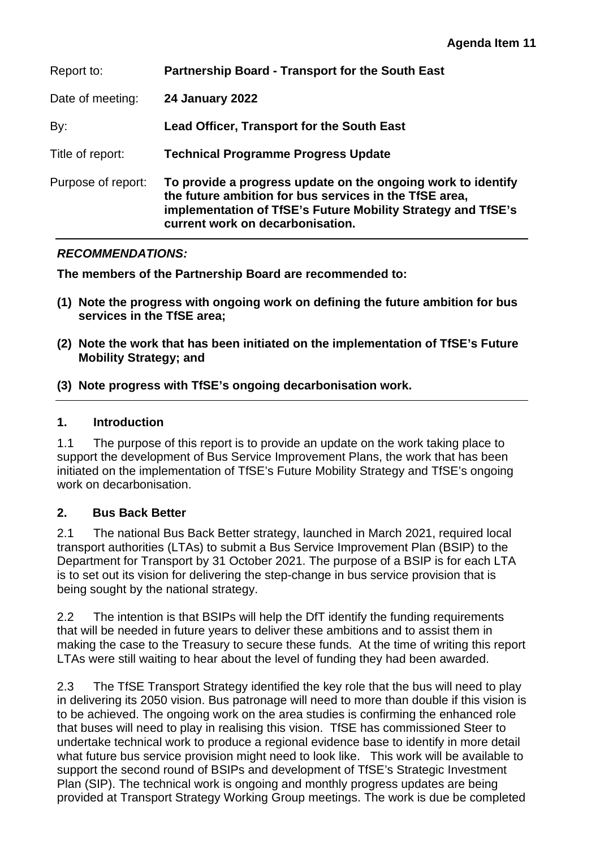| Report to:         | Partnership Board - Transport for the South East                                                                                                                                                                           |
|--------------------|----------------------------------------------------------------------------------------------------------------------------------------------------------------------------------------------------------------------------|
| Date of meeting:   | <b>24 January 2022</b>                                                                                                                                                                                                     |
| By:                | Lead Officer, Transport for the South East                                                                                                                                                                                 |
| Title of report:   | <b>Technical Programme Progress Update</b>                                                                                                                                                                                 |
| Purpose of report: | To provide a progress update on the ongoing work to identify<br>the future ambition for bus services in the TfSE area,<br>implementation of TfSE's Future Mobility Strategy and TfSE's<br>current work on decarbonisation. |

### *RECOMMENDATIONS:*

**The members of the Partnership Board are recommended to:** 

- **(1) Note the progress with ongoing work on defining the future ambition for bus services in the TfSE area;**
- **(2) Note the work that has been initiated on the implementation of TfSE's Future Mobility Strategy; and**
- **(3) Note progress with TfSE's ongoing decarbonisation work.**

## **1. Introduction**

1.1 The purpose of this report is to provide an update on the work taking place to support the development of Bus Service Improvement Plans, the work that has been initiated on the implementation of TfSE's Future Mobility Strategy and TfSE's ongoing work on decarbonisation.

### **2. Bus Back Better**

2.1 The national Bus Back Better strategy, launched in March 2021, required local transport authorities (LTAs) to submit a Bus Service Improvement Plan (BSIP) to the Department for Transport by 31 October 2021. The purpose of a BSIP is for each LTA is to set out its vision for delivering the step-change in bus service provision that is being sought by the national strategy.

2.2 The intention is that BSIPs will help the DfT identify the funding requirements that will be needed in future years to deliver these ambitions and to assist them in making the case to the Treasury to secure these funds. At the time of writing this report LTAs were still waiting to hear about the level of funding they had been awarded.

2.3 The TfSE Transport Strategy identified the key role that the bus will need to play in delivering its 2050 vision. Bus patronage will need to more than double if this vision is to be achieved. The ongoing work on the area studies is confirming the enhanced role that buses will need to play in realising this vision. TfSE has commissioned Steer to undertake technical work to produce a regional evidence base to identify in more detail what future bus service provision might need to look like. This work will be available to support the second round of BSIPs and development of TfSE's Strategic Investment Plan (SIP). The technical work is ongoing and monthly progress updates are being provided at Transport Strategy Working Group meetings. The work is due be completed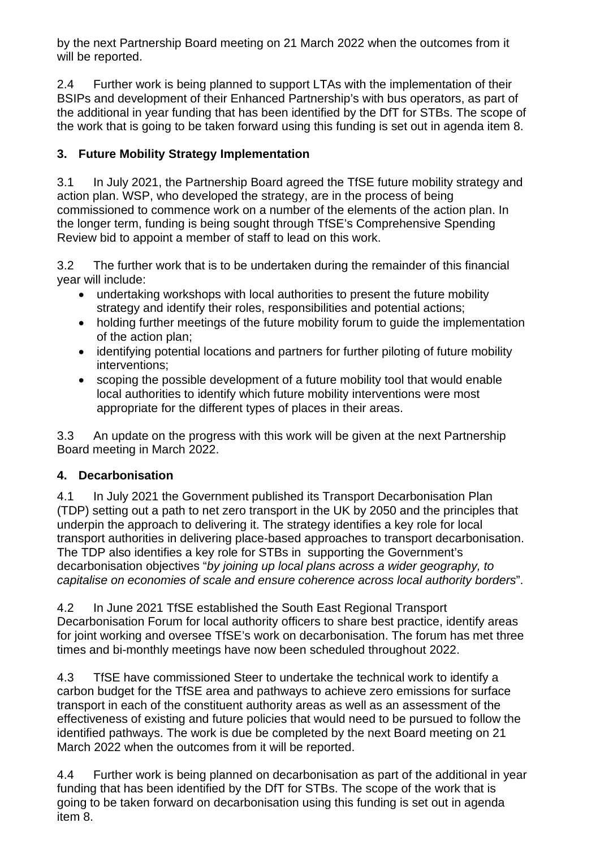by the next Partnership Board meeting on 21 March 2022 when the outcomes from it will be reported.

2.4 Further work is being planned to support LTAs with the implementation of their BSIPs and development of their Enhanced Partnership's with bus operators, as part of the additional in year funding that has been identified by the DfT for STBs. The scope of the work that is going to be taken forward using this funding is set out in agenda item 8.

# **3. Future Mobility Strategy Implementation**

3.1 In July 2021, the Partnership Board agreed the TfSE future mobility strategy and action plan. WSP, who developed the strategy, are in the process of being commissioned to commence work on a number of the elements of the action plan. In the longer term, funding is being sought through TfSE's Comprehensive Spending Review bid to appoint a member of staff to lead on this work.

3.2 The further work that is to be undertaken during the remainder of this financial year will include:

- undertaking workshops with local authorities to present the future mobility strategy and identify their roles, responsibilities and potential actions;
- holding further meetings of the future mobility forum to guide the implementation of the action plan;
- identifying potential locations and partners for further piloting of future mobility interventions;
- scoping the possible development of a future mobility tool that would enable local authorities to identify which future mobility interventions were most appropriate for the different types of places in their areas.

3.3 An update on the progress with this work will be given at the next Partnership Board meeting in March 2022.

## **4. Decarbonisation**

4.1 In July 2021 the Government published its Transport Decarbonisation Plan (TDP) setting out a path to net zero transport in the UK by 2050 and the principles that underpin the approach to delivering it. The strategy identifies a key role for local transport authorities in delivering place-based approaches to transport decarbonisation. The TDP also identifies a key role for STBs in supporting the Government's decarbonisation objectives "*by joining up local plans across a wider geography, to capitalise on economies of scale and ensure coherence across local authority borders*".

4.2 In June 2021 TfSE established the South East Regional Transport Decarbonisation Forum for local authority officers to share best practice, identify areas for joint working and oversee TfSE's work on decarbonisation. The forum has met three times and bi-monthly meetings have now been scheduled throughout 2022.

4.3 TfSE have commissioned Steer to undertake the technical work to identify a carbon budget for the TfSE area and pathways to achieve zero emissions for surface transport in each of the constituent authority areas as well as an assessment of the effectiveness of existing and future policies that would need to be pursued to follow the identified pathways. The work is due be completed by the next Board meeting on 21 March 2022 when the outcomes from it will be reported.

4.4 Further work is being planned on decarbonisation as part of the additional in year funding that has been identified by the DfT for STBs. The scope of the work that is going to be taken forward on decarbonisation using this funding is set out in agenda item 8.